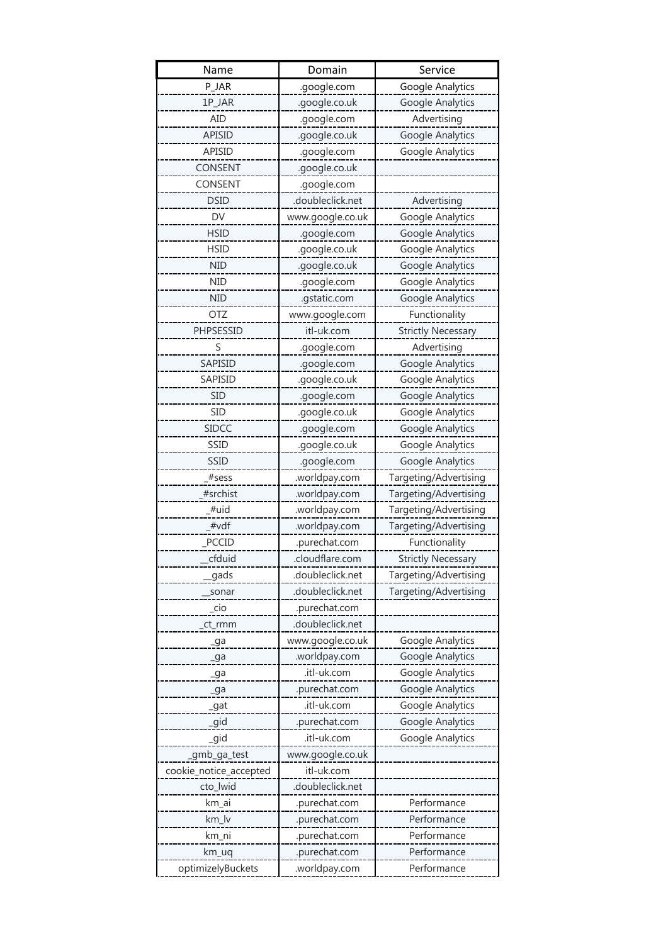| Name                   | Domain           | Service                   |
|------------------------|------------------|---------------------------|
| P_JAR                  | .google.com      | Google Analytics          |
| 1P_JAR                 | .google.co.uk    | Google Analytics          |
| <b>AID</b>             | .google.com      | Advertising               |
| <b>APISID</b>          | .google.co.uk    | Google Analytics          |
| <b>APISID</b>          | .google.com      | Google Analytics          |
| CONSENT                | .google.co.uk    |                           |
| CONSENT                | .google.com      |                           |
| DSID                   | .doubleclick.net | Advertising               |
| DV                     | www.google.co.uk | Google Analytics          |
| <b>HSID</b>            | .google.com      | Google Analytics          |
| <b>HSID</b>            | .google.co.uk    | Google Analytics          |
| <b>NID</b>             | .google.co.uk    | Google Analytics          |
| <b>NID</b>             | .google.com      | Google Analytics          |
| <b>NID</b>             | .gstatic.com     | Google Analytics          |
| OTZ                    | www.google.com   | Functionality             |
| PHPSESSID              | itl-uk.com       | <b>Strictly Necessary</b> |
| S                      | .google.com      | Advertising               |
| SAPISID                | .google.com      | Google Analytics          |
| SAPISID                | .google.co.uk    | Google Analytics          |
| SID                    | .google.com      | Google Analytics          |
| <b>SID</b>             | .google.co.uk    | Google Analytics          |
| <b>SIDCC</b>           | .google.com      | Google Analytics          |
| SSID                   | .google.co.uk    | Google Analytics          |
| SSID                   | .google.com      | Google Analytics          |
| #sess                  | .worldpay.com    | Targeting/Advertising     |
| #srchist               | .worldpay.com    | Targeting/Advertising     |
| #uid                   | .worldpay.com    | Targeting/Advertising     |
| #vdf                   | .worldpay.com    | Targeting/Advertising     |
| PCCID                  | .purechat.com    | Functionality             |
| cfduid                 | .cloudflare.com  | <b>Strictly Necessary</b> |
| gads                   | .doubleclick.net | Targeting/Advertising     |
| sonar                  | .doubleclick.net | Targeting/Advertising     |
| _cio                   | .purechat.com    |                           |
| ct_rmm                 | .doubleclick.net |                           |
| _ga                    | www.google.co.uk | Google Analytics          |
| _ga                    | .worldpay.com    | Google Analytics          |
| _ga                    | .itl-uk.com      | Google Analytics          |
| ga                     | .purechat.com    | Google Analytics          |
| _gat                   | .itl-uk.com      | Google Analytics          |
| gid                    | .purechat.com    | Google Analytics          |
| gid                    | .itl-uk.com      | Google Analytics          |
| _gmb_ga_test           | www.google.co.uk |                           |
| cookie_notice_accepted | itl-uk.com       |                           |
| cto_lwid               | .doubleclick.net |                           |
| km_ai                  | .purechat.com    | Performance               |
| km_lv                  | .purechat.com    | Performance               |
| km_ni                  | .purechat.com    | Performance               |
| km_uq                  | .purechat.com    | Performance               |
| optimizelyBuckets      | .worldpay.com    | Performance               |